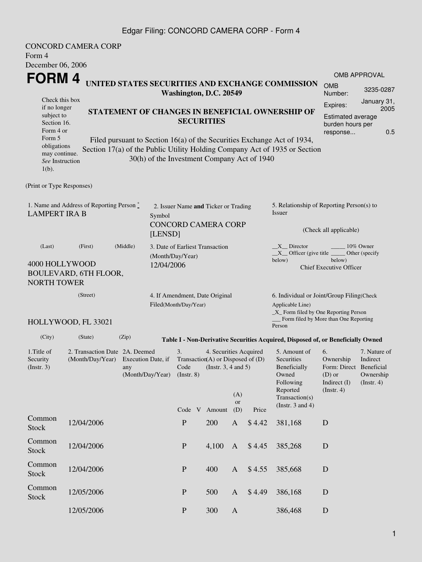### Edgar Filing: CONCORD CAMERA CORP - Form 4

| Form 4                                                                                                                                        | <b>CONCORD CAMERA CORP</b>                                          |         |                                             |                                                                                                                     |                                 |        |                               |                                                                                                |                                                                                                                                                       |                                                           |                     |  |
|-----------------------------------------------------------------------------------------------------------------------------------------------|---------------------------------------------------------------------|---------|---------------------------------------------|---------------------------------------------------------------------------------------------------------------------|---------------------------------|--------|-------------------------------|------------------------------------------------------------------------------------------------|-------------------------------------------------------------------------------------------------------------------------------------------------------|-----------------------------------------------------------|---------------------|--|
| December 06, 2006<br><b>FORM4</b>                                                                                                             |                                                                     |         |                                             |                                                                                                                     |                                 |        |                               |                                                                                                | UNITED STATES SECURITIES AND EXCHANGE COMMISSION                                                                                                      |                                                           | <b>OMB APPROVAL</b> |  |
|                                                                                                                                               |                                                                     |         |                                             | Washington, D.C. 20549                                                                                              |                                 |        |                               |                                                                                                |                                                                                                                                                       | <b>OMB</b><br>Number:                                     | 3235-0287           |  |
| Check this box<br>if no longer<br>STATEMENT OF CHANGES IN BENEFICIAL OWNERSHIP OF<br>subject to                                               |                                                                     |         |                                             |                                                                                                                     | <b>SECURITIES</b>               |        | Expires:<br>Estimated average | January 31,<br>2005                                                                            |                                                                                                                                                       |                                                           |                     |  |
| Section 16.<br>Form 4 or<br>Form 5<br>obligations<br>may continue.<br>See Instruction<br>$1(b)$ .                                             |                                                                     |         | 30(h) of the Investment Company Act of 1940 |                                                                                                                     |                                 |        |                               |                                                                                                | Filed pursuant to Section 16(a) of the Securities Exchange Act of 1934,<br>Section 17(a) of the Public Utility Holding Company Act of 1935 or Section | burden hours per<br>response                              | 0.5                 |  |
| (Print or Type Responses)                                                                                                                     |                                                                     |         |                                             |                                                                                                                     |                                 |        |                               |                                                                                                |                                                                                                                                                       |                                                           |                     |  |
| 1. Name and Address of Reporting Person $\degree$<br><b>LAMPERT IRA B</b><br>Symbol                                                           |                                                                     |         |                                             | 2. Issuer Name and Ticker or Trading<br><b>CONCORD CAMERA CORP</b>                                                  |                                 |        |                               |                                                                                                | 5. Relationship of Reporting Person(s) to<br>Issuer                                                                                                   |                                                           |                     |  |
|                                                                                                                                               |                                                                     | [LENSD] |                                             |                                                                                                                     |                                 |        |                               |                                                                                                | (Check all applicable)                                                                                                                                |                                                           |                     |  |
| (Middle)<br>(Last)<br>(First)<br>(Month/Day/Year)                                                                                             |                                                                     |         |                                             |                                                                                                                     | 3. Date of Earliest Transaction |        |                               |                                                                                                | $X$ Director<br>10% Owner<br>$X$ Officer (give title $\_\_\_\$ Other (specify<br>below)<br>below)                                                     |                                                           |                     |  |
| 4000 HOLLYWOOD<br><b>NORTH TOWER</b>                                                                                                          | <b>BOULEVARD, 6TH FLOOR,</b>                                        |         | 12/04/2006                                  |                                                                                                                     |                                 |        |                               |                                                                                                |                                                                                                                                                       | <b>Chief Executive Officer</b>                            |                     |  |
|                                                                                                                                               | (Street)<br>4. If Amendment, Date Original<br>Filed(Month/Day/Year) |         |                                             |                                                                                                                     |                                 |        |                               | Applicable Line)                                                                               | 6. Individual or Joint/Group Filing(Check<br>_X_ Form filed by One Reporting Person<br>Form filed by More than One Reporting                          |                                                           |                     |  |
|                                                                                                                                               | HOLLYWOOD, FL 33021                                                 |         |                                             |                                                                                                                     |                                 |        |                               |                                                                                                | Person                                                                                                                                                |                                                           |                     |  |
| (City)                                                                                                                                        | (State)                                                             | (Zip)   |                                             |                                                                                                                     |                                 |        |                               |                                                                                                | Table I - Non-Derivative Securities Acquired, Disposed of, or Beneficially Owned                                                                      |                                                           |                     |  |
| 1. Title of<br>2. Transaction Date 2A. Deemed<br>Execution Date, if<br>Security<br>(Month/Day/Year)<br>(Insert. 3)<br>any<br>(Month/Day/Year) |                                                                     |         | 3.<br>Code                                  | 4. Securities Acquired<br>Transaction(A) or Disposed of (D)<br>(Instr. 3, 4 and 5)<br>$($ Instr. 8 $)$<br>(A)<br>or |                                 |        |                               | 5. Amount of<br>Securities<br>Beneficially<br>Owned<br>Following<br>Reported<br>Transaction(s) | 6.<br>Ownership<br>Form: Direct Beneficial<br>$(D)$ or<br>Indirect (I)<br>$($ Instr. 4 $)$                                                            | 7. Nature of<br>Indirect<br>Ownership<br>$($ Instr. 4 $)$ |                     |  |
|                                                                                                                                               |                                                                     |         |                                             | Code V                                                                                                              |                                 | Amount | (D)                           | Price                                                                                          | (Instr. $3$ and $4$ )                                                                                                                                 |                                                           |                     |  |
| Common<br><b>Stock</b>                                                                                                                        | 12/04/2006                                                          |         |                                             | ${\bf P}$                                                                                                           |                                 | 200    | $\mathbf{A}$                  | \$4.42                                                                                         | 381,168                                                                                                                                               | D                                                         |                     |  |
| Common<br><b>Stock</b>                                                                                                                        | 12/04/2006                                                          |         |                                             | ${\bf P}$                                                                                                           |                                 | 4,100  | $\mathbf{A}$                  | \$4.45                                                                                         | 385,268                                                                                                                                               | D                                                         |                     |  |
| Common<br><b>Stock</b>                                                                                                                        | 12/04/2006                                                          |         |                                             | ${\bf P}$                                                                                                           |                                 | 400    | $\mathbf{A}$                  | \$4.55                                                                                         | 385,668                                                                                                                                               | D                                                         |                     |  |
| Common<br><b>Stock</b>                                                                                                                        | 12/05/2006                                                          |         |                                             | ${\bf P}$                                                                                                           |                                 | 500    | $\mathbf{A}$                  | \$4.49                                                                                         | 386,168                                                                                                                                               | $\mathbf D$                                               |                     |  |
|                                                                                                                                               | 12/05/2006                                                          |         |                                             | ${\bf P}$                                                                                                           |                                 | 300    | $\mathbf{A}$                  |                                                                                                | 386,468                                                                                                                                               | D                                                         |                     |  |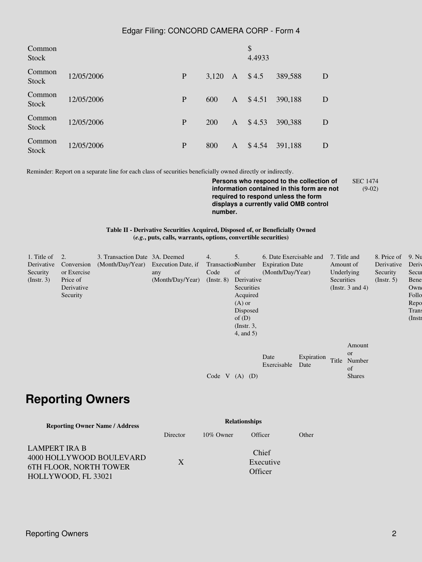#### Edgar Filing: CONCORD CAMERA CORP - Form 4

| Common<br>Stock        |            |   |       |              | \$<br>4.4933 |         |   |
|------------------------|------------|---|-------|--------------|--------------|---------|---|
| Common<br><b>Stock</b> | 12/05/2006 | P | 3,120 | $\mathbf{A}$ | \$4.5        | 389,588 | D |
| Common<br><b>Stock</b> | 12/05/2006 | P | 600   | $\mathbf{A}$ | \$4.51       | 390,188 | D |
| Common<br>Stock        | 12/05/2006 | P | 200   | A            | \$4.53       | 390,388 | D |
| Common<br><b>Stock</b> | 12/05/2006 | P | 800   | A            | \$4.54       | 391,188 | D |

Reminder: Report on a separate line for each class of securities beneficially owned directly or indirectly.

**Persons who respond to the collection of information contained in this form are not required to respond unless the form displays a currently valid OMB control number.** SEC 1474 (9-02)

**Table II - Derivative Securities Acquired, Disposed of, or Beneficially Owned (***e.g.***, puts, calls, warrants, options, convertible securities)**

| 1. Title of      | 2.          | 3. Transaction Date 3A. Deemed      |                  | 4.                | 5.              | 6. Date Exercisable and |            | 7. Title and     | 8. Price of | 9. Nu       |
|------------------|-------------|-------------------------------------|------------------|-------------------|-----------------|-------------------------|------------|------------------|-------------|-------------|
| Derivative       | Conversion  | (Month/Day/Year) Execution Date, if |                  | TransactionNumber |                 | <b>Expiration Date</b>  |            | Amount of        | Derivative  | Deriy       |
| Security         | or Exercise |                                     | any              | Code              | <sub>of</sub>   | (Month/Day/Year)        |            | Underlying       | Security    | Secur       |
| $($ Instr. 3 $)$ | Price of    |                                     | (Month/Day/Year) | $($ Instr. 8 $)$  | Derivative      |                         |            | Securities       | (Insert. 5) | <b>Bene</b> |
|                  | Derivative  |                                     |                  |                   | Securities      |                         |            | (Instr. 3 and 4) |             | Own         |
|                  | Security    |                                     |                  |                   | Acquired        |                         |            |                  |             | Follo       |
|                  |             |                                     |                  |                   | $(A)$ or        |                         |            |                  |             | Repo        |
|                  |             |                                     |                  |                   | Disposed        |                         |            |                  |             | Trans       |
|                  |             |                                     |                  |                   | of $(D)$        |                         |            |                  |             | $($ Instr   |
|                  |             |                                     |                  |                   | $($ Instr. 3,   |                         |            |                  |             |             |
|                  |             |                                     |                  |                   | $4$ , and $5$ ) |                         |            |                  |             |             |
|                  |             |                                     |                  |                   |                 |                         |            |                  |             |             |
|                  |             |                                     |                  |                   |                 |                         |            | Amount           |             |             |
|                  |             |                                     |                  |                   |                 | Date                    | Expiration | <b>or</b>        |             |             |
|                  |             |                                     |                  |                   |                 | Exercisable             | Date       | Title<br>Number  |             |             |
|                  |             |                                     |                  |                   |                 |                         |            | of               |             |             |
|                  |             |                                     |                  | Code V            | (D)<br>(A)      |                         |            | <b>Shares</b>    |             |             |

## **Reporting Owners**

| <b>Reporting Owner Name / Address</b>                                                      | <b>Relationships</b> |              |                               |       |  |  |  |
|--------------------------------------------------------------------------------------------|----------------------|--------------|-------------------------------|-------|--|--|--|
|                                                                                            | Director             | $10\%$ Owner | Officer                       | Other |  |  |  |
| LAMPERT IRA B<br>4000 HOLLYWOOD BOULEVARD<br>6TH FLOOR, NORTH TOWER<br>HOLLYWOOD, FL 33021 | X                    |              | Chief<br>Executive<br>Officer |       |  |  |  |